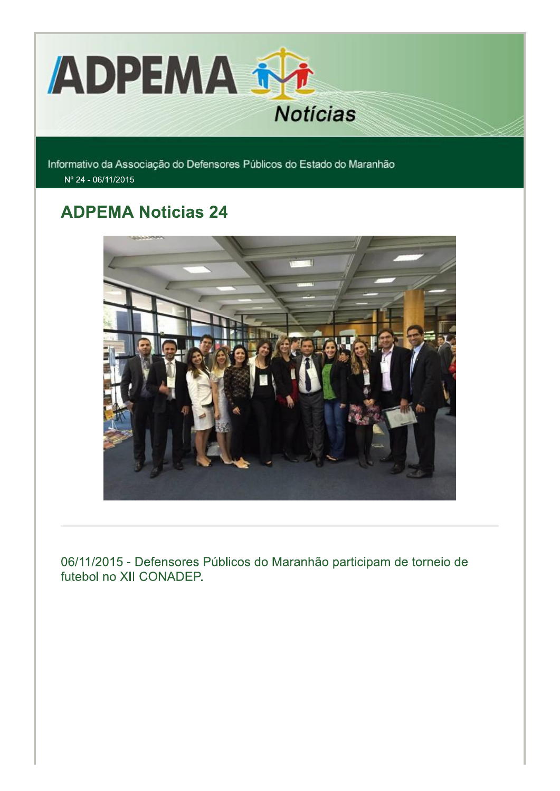

Informativo da Associação do Defensores Públicos do Estado do Maranhão Nº 24 - 06/11/2015

## **ADPEMA Noticias 24**



06/11/2015 - Defensores Públicos do Maranhão participam de torneio de futebol no XII CONADEP.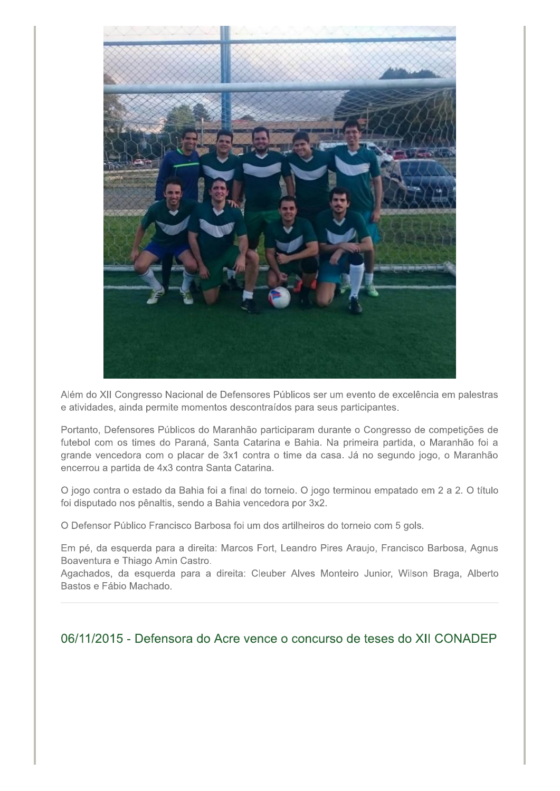

Além do XII Congresso Nacional de Defensores Públicos ser um evento de excelência em palestras e atividades, ainda permite momentos descontraídos para seus participantes.

Portanto, Defensores Públicos do Maranhão participaram durante o Congresso de competições de futebol com os times do Paraná, Santa Catarina e Bahia. Na primeira partida, o Maranhão foi a grande vencedora com o placar de 3x1 contra o time da casa. Já no segundo jogo, o Maranhão encerrou a partida de 4x3 contra Santa Catarina.

O jogo contra o estado da Bahia foi a final do torneio. O jogo terminou empatado em 2 a 2. O título foi disputado nos pênaltis, sendo a Bahia vencedora por 3x2.

O Defensor Público Francisco Barbosa foi um dos artilheiros do torneio com 5 gols.

Em pé, da esquerda para a direita: Marcos Fort, Leandro Pires Araujo, Francisco Barbosa, Agnus Boaventura e Thiago Amin Castro.

Agachados, da esquerda para a direita: Cleuber Alves Monteiro Junior, Wilson Braga, Alberto Bastos e Fábio Machado.

06/11/2015 - Defensora do Acre vence o concurso de teses do XII CONADEP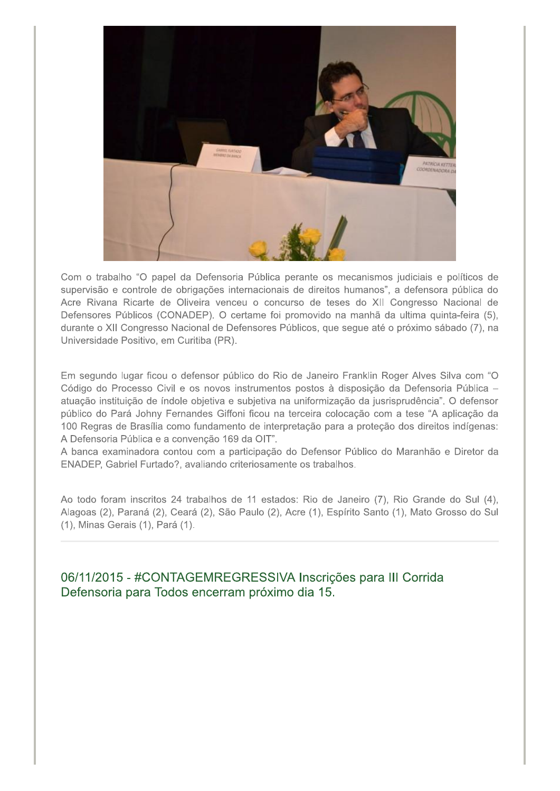

Com o trabalho "O papel da Defensoria Pública perante os mecanismos judiciais e políticos de supervisão e controle de obrigações internacionais de direitos humanos", a defensora pública do Acre Rivana Ricarte de Oliveira venceu o concurso de teses do XII Congresso Nacional de Defensores Públicos (CONADEP). O certame foi promovido na manhã da ultima quinta-feira (5). durante o XII Congresso Nacional de Defensores Públicos, que segue até o próximo sábado (7), na Universidade Positivo, em Curitiba (PR).

Em segundo lugar ficou o defensor público do Rio de Janeiro Franklin Roger Alves Silva com "O Código do Processo Civil e os novos instrumentos postos à disposição da Defensoria Pública atuação instituição de índole objetiva e subjetiva na uniformização da jusrisprudência". O defensor público do Pará Johny Fernandes Giffoni ficou na terceira colocação com a tese "A aplicação da 100 Regras de Brasília como fundamento de interpretação para a proteção dos direitos indígenas: A Defensoria Pública e a convenção 169 da OIT".

A banca examinadora contou com a participação do Defensor Público do Maranhão e Diretor da ENADEP, Gabriel Furtado?, avaliando criteriosamente os trabalhos.

Ao todo foram inscritos 24 trabalhos de 11 estados: Rio de Janeiro (7), Rio Grande do Sul (4), Alagoas (2), Paraná (2), Ceará (2), São Paulo (2), Acre (1), Espírito Santo (1), Mato Grosso do Sul (1), Minas Gerais (1), Pará (1).

06/11/2015 - #CONTAGEMREGRESSIVA Inscrições para III Corrida Defensoria para Todos encerram próximo dia 15.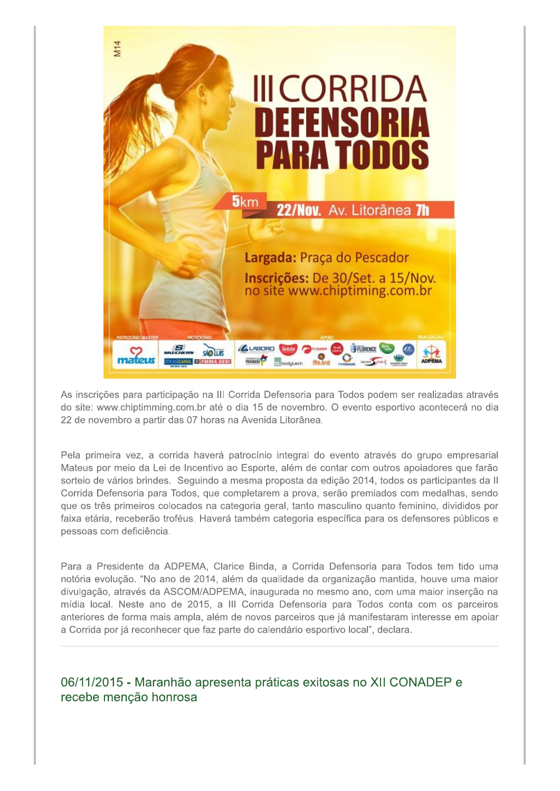

As inscrições para participação na III Corrida Defensoria para Todos podem ser realizadas através do site: www.chiptimming.com.br até o dia 15 de novembro. O evento esportivo acontecerá no dia 22 de novembro a partir das 07 horas na Avenida Litorânea.

Pela primeira vez, a corrida haverá patrocínio integral do evento através do grupo empresarial Mateus por meio da Lei de Incentivo ao Esporte, além de contar com outros apoiadores que farão sorteio de vários brindes. Seguindo a mesma proposta da edição 2014, todos os participantes da II Corrida Defensoria para Todos, que completarem a prova, serão premiados com medalhas, sendo que os três primeiros colocados na categoria geral, tanto masculino quanto feminino, divididos por faixa etária, receberão troféus. Haverá também categoria específica para os defensores públicos e pessoas com deficiência.

Para a Presidente da ADPEMA, Clarice Binda, a Corrida Defensoria para Todos tem tido uma notória evolução. "No ano de 2014, além da qualidade da organização mantida, houve uma maior divulgação, através da ASCOM/ADPEMA, inaugurada no mesmo ano, com uma maior inserção na mídia local. Neste ano de 2015, a III Corrida Defensoria para Todos conta com os parceiros anteriores de forma mais ampla, além de novos parceiros que já manifestaram interesse em apoiar a Corrida por já reconhecer que faz parte do calendário esportivo local", declara.

06/11/2015 - Maranhão apresenta práticas exitosas no XII CONADEP e recebe menção honrosa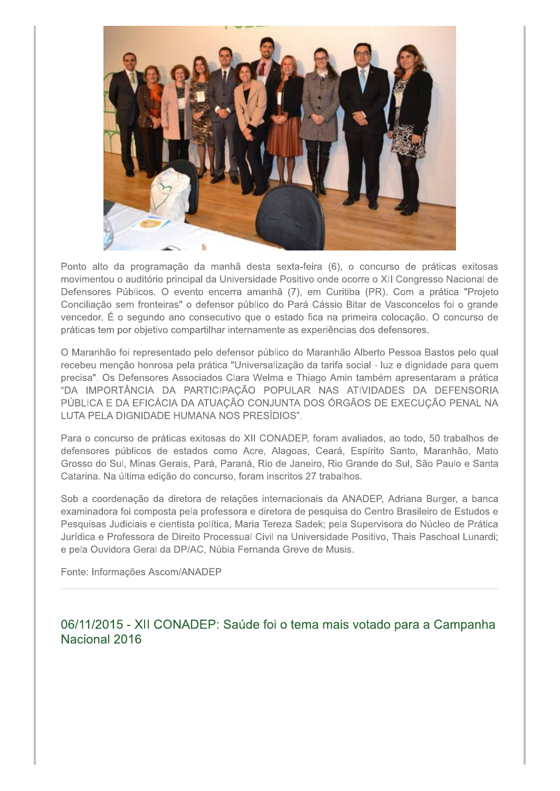

Ponto alto da programação da manhã desta sexta-feira (6), o concurso de práticas exitosas movimentou o auditório principal da Universidade Positivo onde ocorre o XII Congresso Nacional de Defensores Públicos. O evento encerra amanhã (7), em Curitiba (PR). Com a prática "Projeto Conciliação sem fronteiras" o defensor público do Pará Cássio Bitar de Vasconcelos foi o grande vencedor. É o segundo ano consecutivo que o estado fica na primeira colocação. O concurso de práticas tem por objetivo compartilhar internamente as experiências dos defensores.

O Maranhão foi representado pelo defensor público do Maranhão Alberto Pessoa Bastos pelo qual recebeu menção honrosa pela prática "Universalização da tarifa social - luz e dignidade para quem precisa". Os Defensores Associados Clara Welma e Thiago Amin também apresentaram a prática "DA IMPORTÂNCIA DA PARTICIPAÇÃO POPULAR NAS ATIVIDADES DA DEFENSORIA PÚBLICA E DA EFICÁCIA DA ATUAÇÃO CONJUNTA DOS ÓRGÃOS DE EXECUÇÃO PENAL NA LUTA PELA DIGNIDADE HUMANA NOS PRESÍDIOS".

Para o concurso de práticas exitosas do XII CONADEP, foram avaliados, ao todo, 50 trabalhos de defensores públicos de estados como Acre, Alagoas, Ceará, Espírito Santo, Maranhão, Mato Grosso do Sul, Minas Gerais, Pará, Paraná, Rio de Janeiro, Rio Grande do Sul, São Paulo e Santa Catarina. Na última edição do concurso, foram inscritos 27 trabalhos.

Sob a coordenação da diretora de relações internacionais da ANADEP, Adriana Burger, a banca examinadora foi composta pela professora e diretora de pesquisa do Centro Brasileiro de Estudos e Pesquisas Judiciais e cientista política, Maria Tereza Sadek; pela Supervisora do Núcleo de Prática Jurídica e Professora de Direito Processual Civil na Universidade Positivo, Thais Paschoal Lunardi; e pela Ouvidora Geral da DP/AC, Núbia Fernanda Greve de Musis.

Fonte: Informações Ascom/ANADEP

06/11/2015 - XII CONADEP: Saúde foi o tema mais votado para a Campanha Nacional 2016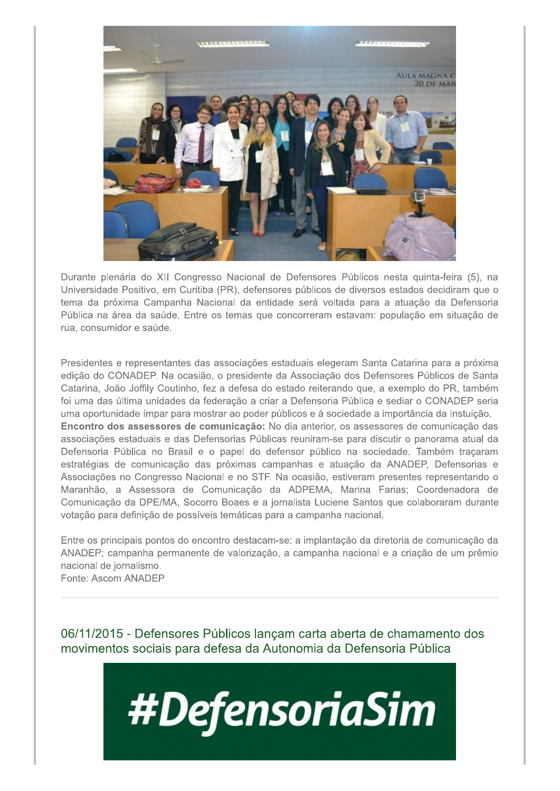

Durante plenária do XII Congresso Nacional de Defensores Públicos nesta guinta-feira (5), na Universidade Positivo, em Curitiba (PR), defensores públicos de diversos estados decidiram que o tema da próxima Campanha Nacional da entidade será voltada para a atuação da Defensoria Pública na área da saúde. Entre os temas que concorreram estavam: população em situação de rua, consumidor e saúde.

Presidentes e representantes das associações estaduais elegeram Santa Catarina para a próxima edição do CONADEP. Na ocasião, o presidente da Associação dos Defensores Públicos de Santa Catarina, João Joffily Coutinho, fez a defesa do estado reiterando que, a exemplo do PR, também foi uma das última unidades da federação a criar a Defensoria Pública e sediar o CONADEP seria uma oportunidade ímpar para mostrar ao poder públicos e à sociedade a importância da Instuição. Encontro dos assessores de comunicação: No dia anterior, os assessores de comunicação das associações estaduais e das Defensorias Públicas reuniram-se para discutir o panorama atual da Defensoria Pública no Brasil e o papel do defensor público na sociedade. Também traçaram estratégias de comunicação das próximas campanhas e atuação da ANADEP, Defensorias e Associações no Congresso Nacional e no STF. Na ocasião, estiveram presentes representando o Maranhão, a Assessora de Comunicação da ADPEMA, Marina Farias; Coordenadora de Comunicação da DPE/MA, Socorro Boaes e a jornalista Luciene Santos que colaboraram durante votação para definição de possíveis temáticas para a campanha nacional.

Entre os principais pontos do encontro destacam-se: a implantação da diretoria de comunicação da ANADEP; campanha permanente de valorização, a campanha nacional e a criação de um prêmio nacional de jornalismo.

Fonte: Ascom ANADEP

06/11/2015 - Defensores Públicos lançam carta aberta de chamamento dos movimentos sociais para defesa da Autonomia da Defensoria Pública

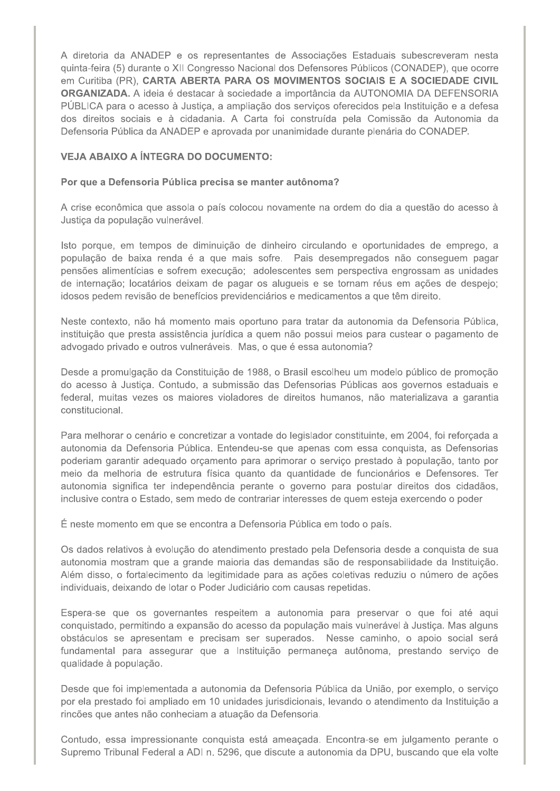A diretoria da ANADEP e os representantes de Associações Estaduais subescreveram nesta quinta-feira (5) durante o XII Congresso Nacional dos Defensores Públicos (CONADEP), que ocorre em Curitiba (PR). CARTA ABERTA PARA OS MOVIMENTOS SOCIAIS E A SOCIEDADE CIVIL ORGANIZADA. A ideia é destacar à sociedade a importância da AUTONOMIA DA DEFENSORIA PÚBLICA para o acesso à Justiça, a ampliação dos serviços oferecidos pela Instituição e a defesa dos direitos sociais e à cidadania. A Carta foi construída pela Comissão da Autonomia da Defensoria Pública da ANADEP e aprovada por unanimidade durante plenária do CONADEP.

## **VEJA ABAIXO A ÍNTEGRA DO DOCUMENTO:**

## Por que a Defensoria Pública precisa se manter autônoma?

A crise econômica que assola o país colocou novamente na ordem do dia a questão do acesso à Justiça da população vulnerável.

Isto porque, em tempos de diminuição de dinheiro circulando e oportunidades de emprego, a população de baixa renda é a que mais sofre. Pais desempregados não conseguem pagar pensões alimentícias e sofrem execução; adolescentes sem perspectiva engrossam as unidades de internação; locatários deixam de pagar os alugueis e se tornam réus em ações de despejo; idosos pedem revisão de benefícios previdenciários e medicamentos a que têm direito.

Neste contexto, não há momento mais oportuno para tratar da autonomia da Defensoria Pública, instituição que presta assistência jurídica a quem não possui meios para custear o pagamento de advogado privado e outros vulneráveis. Mas, o que é essa autonomia?

Desde a promulgação da Constituição de 1988, o Brasil escolheu um modelo público de promoção do acesso à Justiça. Contudo, a submissão das Defensorias Públicas aos governos estaduais e federal, muitas vezes os maiores violadores de direitos humanos, não materializava a garantia constitucional.

Para melhorar o cenário e concretizar a vontade do legislador constituinte, em 2004, foi reforçada a autonomia da Defensoria Pública. Entendeu-se que apenas com essa conquista, as Defensorias poderiam garantir adeguado orcamento para aprimorar o servico prestado à população, tanto por meio da melhoria de estrutura física quanto da quantidade de funcionários e Defensores. Ter autonomia significa ter independência perante o governo para postular direitos dos cidadãos, inclusive contra o Estado, sem medo de contrariar interesses de quem esteja exercendo o poder

É neste momento em que se encontra a Defensoria Pública em todo o país.

Os dados relativos à evolução do atendimento prestado pela Defensoria desde a conquista de sua autonomia mostram que a grande maioria das demandas são de responsabilidade da Instituição. Além disso, o fortalecimento da legitimidade para as ações coletivas reduziu o número de ações individuais, deixando de lotar o Poder Judiciário com causas repetidas.

Espera-se que os governantes respeitem a autonomia para preservar o que foi até aqui conquistado, permitindo a expansão do acesso da população mais vulnerável à Justiça. Mas alguns obstáculos se apresentam e precisam ser superados. Nesse caminho, o apoio social será fundamental para assegurar que a Instituição permaneça autônoma, prestando serviço de qualidade à população.

Desde que foi implementada a autonomia da Defensoria Pública da União, por exemplo, o serviço por ela prestado foi ampliado em 10 unidades jurisdicionais, levando o atendimento da Instituição a rincões que antes não conheciam a atuação da Defensoria.

Contudo, essa impressionante conquista está ameaçada. Encontra-se em julgamento perante o Supremo Tribunal Federal a ADI n. 5296, que discute a autonomia da DPU, buscando que ela volte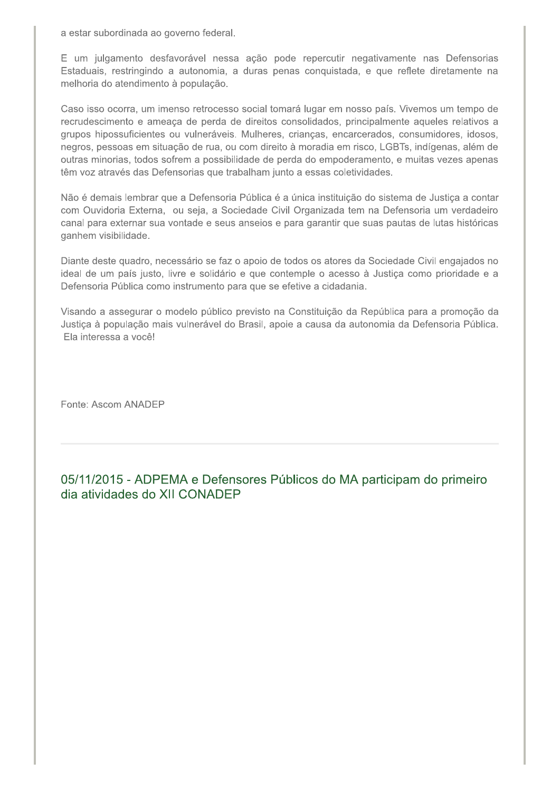a estar subordinada ao governo federal.

E um julgamento desfavorável nessa ação pode repercutir negativamente nas Defensorias Estaduais, restringindo a autonomia, a duras penas conquistada, e que reflete diretamente na melhoria do atendimento à população.

Caso isso ocorra, um imenso retrocesso social tomará lugar em nosso país. Vivemos um tempo de recrudescimento e ameaça de perda de direitos consolidados, principalmente aqueles relativos a grupos hipossuficientes ou vulneráveis. Mulheres, crianças, encarcerados, consumidores, idosos, negros, pessoas em situação de rua, ou com direito à moradia em risco, LGBTs, indígenas, além de outras minorias, todos sofrem a possibilidade de perda do empoderamento, e muitas vezes apenas têm voz através das Defensorias que trabalham junto a essas coletividades.

Não é demais lembrar que a Defensoria Pública é a única instituição do sistema de Justiça a contar com Ouvidoria Externa, ou seja, a Sociedade Civil Organizada tem na Defensoria um verdadeiro canal para externar sua vontade e seus anseios e para garantir que suas pautas de lutas históricas ganhem visibilidade.

Diante deste quadro, necessário se faz o apoio de todos os atores da Sociedade Civil engajados no ideal de um país justo, livre e solidário e que contemple o acesso à Justiça como prioridade e a Defensoria Pública como instrumento para que se efetive a cidadania.

Visando a assegurar o modelo público previsto na Constituição da República para a promoção da Justica à população mais vulnerável do Brasil, apoie a causa da autonomia da Defensoria Pública. Ela interessa a você!

Fonte: Ascom ANADEP

05/11/2015 - ADPEMA e Defensores Públicos do MA participam do primeiro dia atividades do XII CONADEP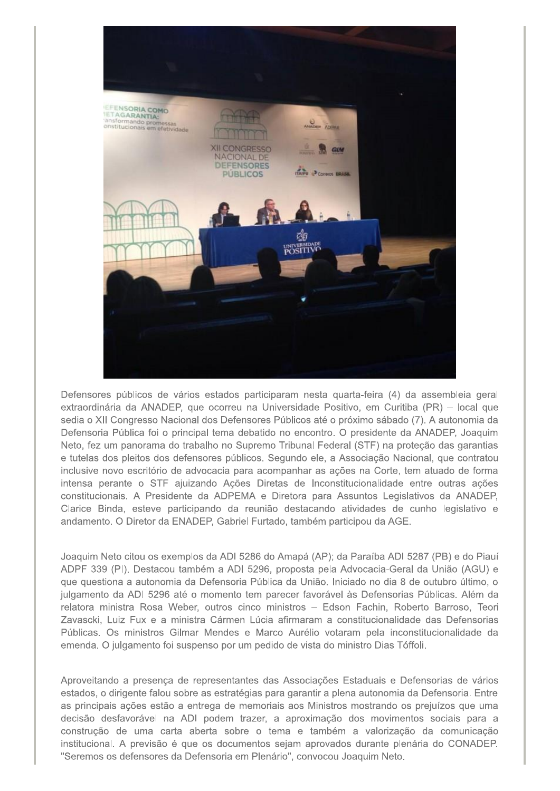

Defensores públicos de vários estados participaram nesta quarta-feira (4) da assembleia geral extraordinária da ANADEP, que ocorreu na Universidade Positivo, em Curitiba (PR) – local que sedia o XII Congresso Nacional dos Defensores Públicos até o próximo sábado (7). A autonomia da Defensoria Pública foi o principal tema debatido no encontro. O presidente da ANADEP, Joaquim Neto, fez um panorama do trabalho no Supremo Tribunal Federal (STF) na proteção das garantias e tutelas dos pleitos dos defensores públicos. Segundo ele, a Associação Nacional, que contratou inclusive novo escritório de advocacia para acompanhar as ações na Corte, tem atuado de forma intensa perante o STF ajuizando Ações Diretas de Inconstitucionalidade entre outras ações constitucionais. A Presidente da ADPEMA e Diretora para Assuntos Legislativos da ANADEP, Clarice Binda, esteve participando da reunião destacando atividades de cunho legislativo e andamento. O Diretor da ENADEP, Gabriel Furtado, também participou da AGE.

Joaquim Neto citou os exemplos da ADI 5286 do Amapá (AP); da Paraíba ADI 5287 (PB) e do Piauí ADPF 339 (PI). Destacou também a ADI 5296, proposta pela Advocacia-Geral da União (AGU) e que questiona a autonomia da Defensoria Pública da União. Iniciado no dia 8 de outubro último, o julgamento da ADI 5296 até o momento tem parecer favorável às Defensorias Públicas. Além da relatora ministra Rosa Weber, outros cinco ministros - Edson Fachin, Roberto Barroso, Teori Zavascki, Luiz Fux e a ministra Cármen Lúcia afirmaram a constitucionalidade das Defensorias Públicas. Os ministros Gilmar Mendes e Marco Aurélio votaram pela inconstitucionalidade da emenda. O julgamento foi suspenso por um pedido de vista do ministro Dias Tóffoli.

Aproveitando a presença de representantes das Associações Estaduais e Defensorias de vários estados, o dirigente falou sobre as estratégias para garantir a plena autonomia da Defensoria. Entre as principais ações estão a entrega de memoriais aos Ministros mostrando os prejuízos que uma decisão desfavorável na ADI podem trazer, a aproximação dos movimentos sociais para a construção de uma carta aberta sobre o tema e também a valorização da comunicação institucional. A previsão é que os documentos sejam aprovados durante plenária do CONADEP. "Seremos os defensores da Defensoria em Plenário", convocou Joaquim Neto.